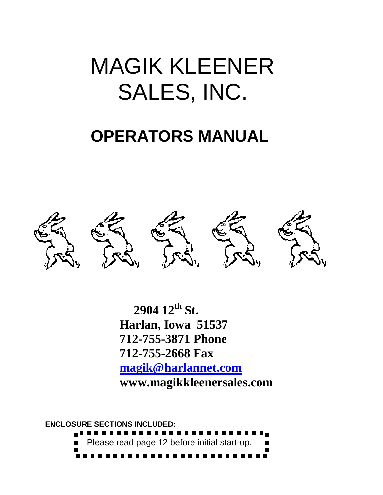# MAGIK KLEENER SALES, INC.

## **OPERATORS MANUAL**



**OPERATOR'S MANUAL www.magikkleenersales.com 2904 12th St. Harlan, Iowa 51537 712-755-3871 Phone 712-755-2668 Fax [magik@harlannet.com](mailto:magik@harlannet.com)**

**ENCLOSURE SECTIONS INCLUDED:** Please read page 12 before initial start-up. -------------------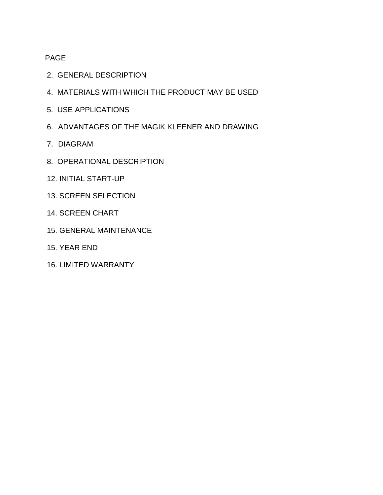#### PAGE

- 2. GENERAL DESCRIPTION
- 4. MATERIALS WITH WHICH THE PRODUCT MAY BE USED
- 5. USE APPLICATIONS
- 6. ADVANTAGES OF THE MAGIK KLEENER AND DRAWING
- 7. DIAGRAM
- 8. OPERATIONAL DESCRIPTION
- 12. INITIAL START-UP
- 13. SCREEN SELECTION
- 14. SCREEN CHART
- 15. GENERAL MAINTENANCE
- 15. YEAR END
- 16. LIMITED WARRANTY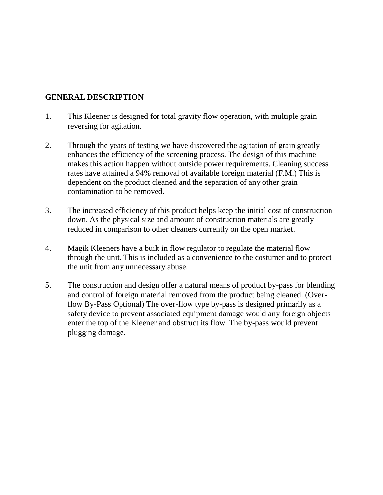#### **GENERAL DESCRIPTION**

- 1. This Kleener is designed for total gravity flow operation, with multiple grain reversing for agitation.
- 2. Through the years of testing we have discovered the agitation of grain greatly enhances the efficiency of the screening process. The design of this machine makes this action happen without outside power requirements. Cleaning success rates have attained a 94% removal of available foreign material (F.M.) This is dependent on the product cleaned and the separation of any other grain contamination to be removed.
- 3. The increased efficiency of this product helps keep the initial cost of construction down. As the physical size and amount of construction materials are greatly reduced in comparison to other cleaners currently on the open market.
- 4. Magik Kleeners have a built in flow regulator to regulate the material flow through the unit. This is included as a convenience to the costumer and to protect the unit from any unnecessary abuse.
- 5. The construction and design offer a natural means of product by-pass for blending and control of foreign material removed from the product being cleaned. (Overflow By-Pass Optional) The over-flow type by-pass is designed primarily as a safety device to prevent associated equipment damage would any foreign objects enter the top of the Kleener and obstruct its flow. The by-pass would prevent plugging damage.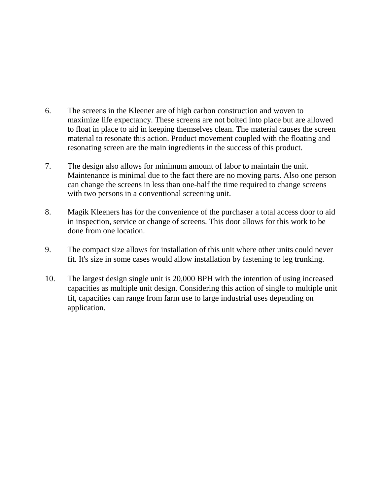- 6. The screens in the Kleener are of high carbon construction and woven to maximize life expectancy. These screens are not bolted into place but are allowed to float in place to aid in keeping themselves clean. The material causes the screen material to resonate this action. Product movement coupled with the floating and resonating screen are the main ingredients in the success of this product.
- 7. The design also allows for minimum amount of labor to maintain the unit. Maintenance is minimal due to the fact there are no moving parts. Also one person can change the screens in less than one-half the time required to change screens with two persons in a conventional screening unit.
- 8. Magik Kleeners has for the convenience of the purchaser a total access door to aid in inspection, service or change of screens. This door allows for this work to be done from one location.
- 9. The compact size allows for installation of this unit where other units could never fit. It's size in some cases would allow installation by fastening to leg trunking.
- 10. The largest design single unit is 20,000 BPH with the intention of using increased capacities as multiple unit design. Considering this action of single to multiple unit fit, capacities can range from farm use to large industrial uses depending on application.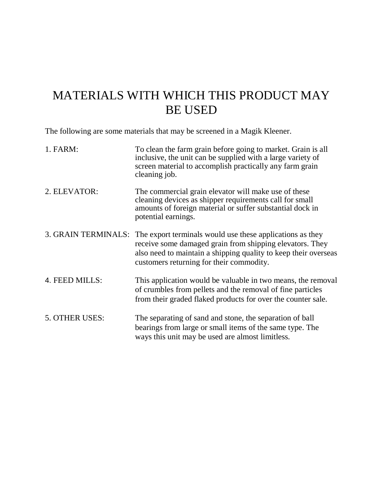### MATERIALS WITH WHICH THIS PRODUCT MAY BE USED

The following are some materials that may be screened in a Magik Kleener.

| 1. FARM:       | To clean the farm grain before going to market. Grain is all<br>inclusive, the unit can be supplied with a large variety of<br>screen material to accomplish practically any farm grain<br>cleaning job.                                                 |
|----------------|----------------------------------------------------------------------------------------------------------------------------------------------------------------------------------------------------------------------------------------------------------|
| 2. ELEVATOR:   | The commercial grain elevator will make use of these<br>cleaning devices as shipper requirements call for small<br>amounts of foreign material or suffer substantial dock in<br>potential earnings.                                                      |
|                | 3. GRAIN TERMINALS: The export terminals would use these applications as they<br>receive some damaged grain from shipping elevators. They<br>also need to maintain a shipping quality to keep their overseas<br>customers returning for their commodity. |
| 4. FEED MILLS: | This application would be valuable in two means, the removal<br>of crumbles from pellets and the removal of fine particles<br>from their graded flaked products for over the counter sale.                                                               |
| 5. OTHER USES: | The separating of sand and stone, the separation of ball<br>bearings from large or small items of the same type. The<br>ways this unit may be used are almost limitless.                                                                                 |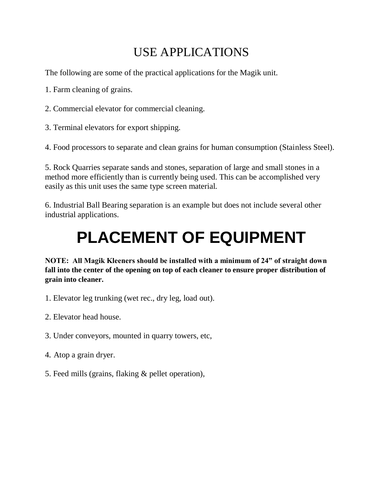## USE APPLICATIONS

The following are some of the practical applications for the Magik unit.

1. Farm cleaning of grains.

2. Commercial elevator for commercial cleaning.

3. Terminal elevators for export shipping.

4. Food processors to separate and clean grains for human consumption (Stainless Steel).

5. Rock Quarries separate sands and stones, separation of large and small stones in a method more efficiently than is currently being used. This can be accomplished very easily as this unit uses the same type screen material.

6. Industrial Ball Bearing separation is an example but does not include several other industrial applications.

## **PLACEMENT OF EQUIPMENT**

**NOTE: All Magik Kleeners should be installed with a minimum of 24" of straight down fall into the center of the opening on top of each cleaner to ensure proper distribution of grain into cleaner.**

- 1. Elevator leg trunking (wet rec., dry leg, load out).
- 2. Elevator head house.
- 3. Under conveyors, mounted in quarry towers, etc,
- 4*.* Atop a grain dryer.
- 5. Feed mills (grains, flaking & pellet operation),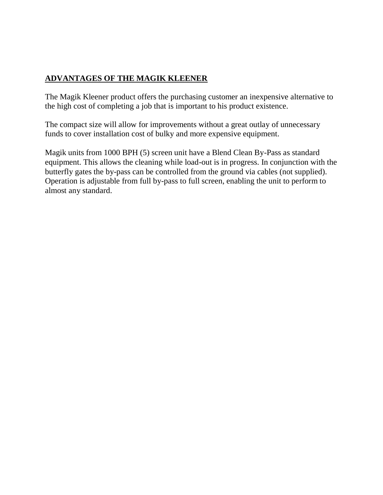#### **ADVANTAGES OF THE MAGIK KLEENER**

The Magik Kleener product offers the purchasing customer an inexpensive alternative to the high cost of completing a job that is important to his product existence.

The compact size will allow for improvements without a great outlay of unnecessary funds to cover installation cost of bulky and more expensive equipment.

Magik units from 1000 BPH (5) screen unit have a Blend Clean By-Pass as standard equipment. This allows the cleaning while load-out is in progress. In conjunction with the butterfly gates the by-pass can be controlled from the ground via cables (not supplied). Operation is adjustable from full by-pass to full screen, enabling the unit to perform to almost any standard.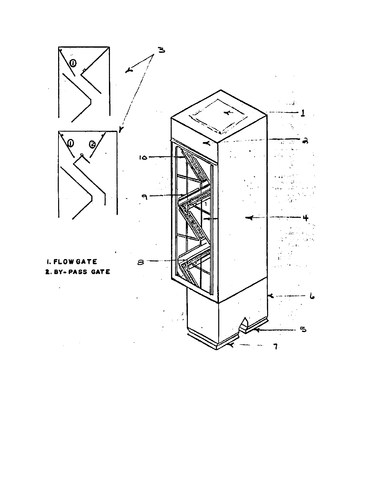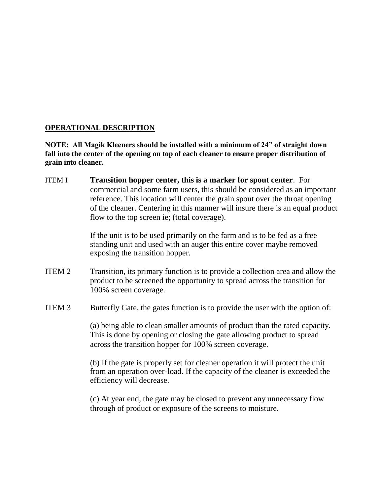#### **OPERATIONAL DESCRIPTION**

**NOTE: All Magik Kleeners should be installed with a minimum of 24" of straight down fall into the center of the opening on top of each cleaner to ensure proper distribution of grain into cleaner.**

ITEM I **Transition hopper center, this is a marker for spout center**. For commercial and some farm users, this should be considered as an important reference. This location will center the grain spout over the throat opening of the cleaner. Centering in this manner will insure there is an equal product flow to the top screen ie; (total coverage).

> If the unit is to be used primarily on the farm and is to be fed as a free standing unit and used with an auger this entire cover maybe removed exposing the transition hopper.

- ITEM 2 Transition, its primary function is to provide a collection area and allow the product to be screened the opportunity to spread across the transition for 100% screen coverage.
- ITEM 3 Butterfly Gate, the gates function is to provide the user with the option of:

(a) being able to clean smaller amounts of product than the rated capacity. This is done by opening or closing the gate allowing product to spread across the transition hopper for 100% screen coverage.

(b) If the gate is properly set for cleaner operation it will protect the unit from an operation over-load. If the capacity of the cleaner is exceeded the efficiency will decrease.

(c) At year end, the gate may be closed to prevent any unnecessary flow through of product or exposure of the screens to moisture.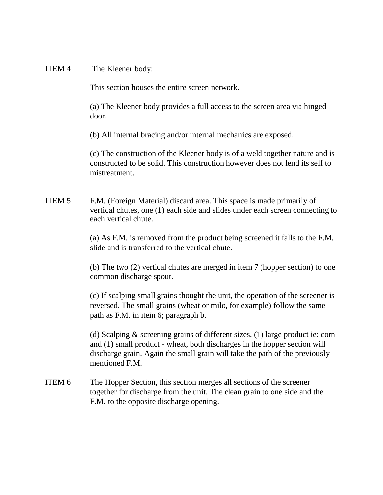#### ITEM 4 The Kleener body:

This section houses the entire screen network.

(a) The Kleener body provides a full access to the screen area via hinged door.

(b) All internal bracing and/or internal mechanics are exposed.

(c) The construction of the Kleener body is of a weld together nature and is constructed to be solid. This construction however does not lend its self to mistreatment.

ITEM 5 F.M. (Foreign Material) discard area. This space is made primarily of vertical chutes, one (1) each side and slides under each screen connecting to each vertical chute.

> (a) As F.M. is removed from the product being screened it falls to the F.M. slide and is transferred to the vertical chute.

> (b) The two (2) vertical chutes are merged in item 7 (hopper section) to one common discharge spout.

> (c) If scalping small grains thought the unit, the operation of the screener is reversed. The small grains (wheat or milo, for example) follow the same path as F.M. in itein 6; paragraph b.

> (d) Scalping & screening grains of different sizes, (1) large product ie: corn and (1) small product - wheat, both discharges in the hopper section will discharge grain. Again the small grain will take the path of the previously mentioned F.M.

ITEM 6 The Hopper Section, this section merges all sections of the screener together for discharge from the unit. The clean grain to one side and the F.M. to the opposite discharge opening.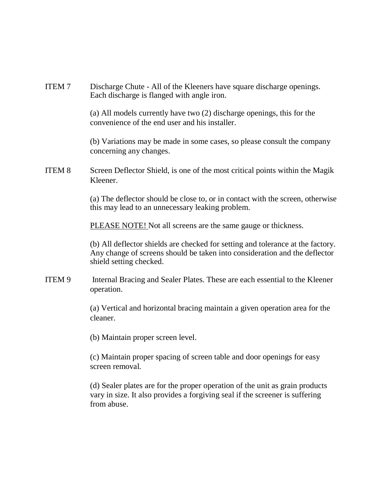ITEM 7 Discharge Chute - All of the Kleeners have square discharge openings. Each discharge is flanged with angle iron.

> (a) All models currently have two (2) discharge openings, this for the convenience of the end user and his installer.

(b) Variations may be made in some cases, so please consult the company concerning any changes.

ITEM 8 Screen Deflector Shield, is one of the most critical points within the Magik Kleener.

> (a) The deflector should be close to, or in contact with the screen, otherwise this may lead to an unnecessary leaking problem.

PLEASE NOTE! Not all screens are the same gauge or thickness.

(b) All deflector shields are checked for setting and tolerance at the factory. Any change of screens should be taken into consideration and the deflector shield setting checked.

ITEM 9 Internal Bracing and Sealer Plates. These are each essential to the Kleener operation.

> (a) Vertical and horizontal bracing maintain a given operation area for the cleaner.

(b) Maintain proper screen level.

(c) Maintain proper spacing of screen table and door openings for easy screen removal.

(d) Sealer plates are for the proper operation of the unit as grain products vary in size. It also provides a forgiving seal if the screener is suffering from abuse.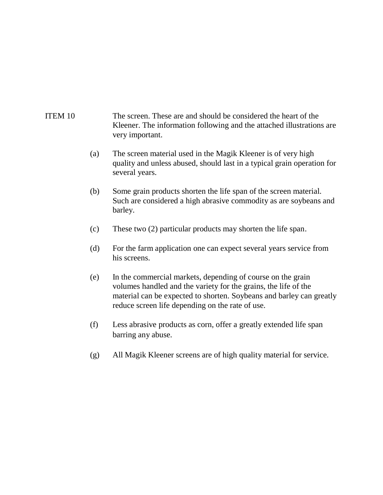#### ITEM 10 The screen. These are and should be considered the heart of the Kleener. The information following and the attached illustrations are very important.

- (a) The screen material used in the Magik Kleener is of very high quality and unless abused, should last in a typical grain operation for several years.
- (b) Some grain products shorten the life span of the screen material. Such are considered a high abrasive commodity as are soybeans and barley.
- (c) These two (2) particular products may shorten the life span.
- (d) For the farm application one can expect several years service from his screens.
- (e) In the commercial markets, depending of course on the grain volumes handled and the variety for the grains, the life of the material can be expected to shorten. Soybeans and barley can greatly reduce screen life depending on the rate of use.
- (f) Less abrasive products as corn, offer a greatly extended life span barring any abuse.
- (g) All Magik Kleener screens are of high quality material for service.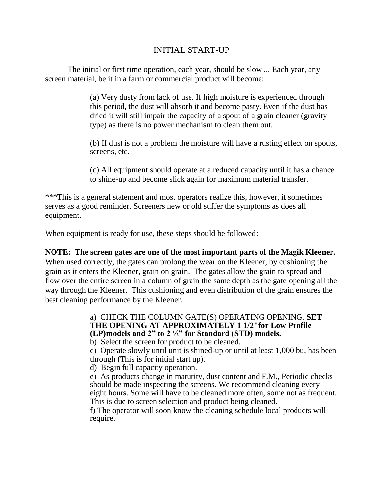#### INITIAL START-UP

The initial or first time operation, each year, should be slow ... Each year, any screen material, be it in a farm or commercial product will become;

> (a) Very dusty from lack of use. If high moisture is experienced through this period, the dust will absorb it and become pasty. Even if the dust has dried it will still impair the capacity of a spout of a grain cleaner (gravity type) as there is no power mechanism to clean them out.

(b) If dust is not a problem the moisture will have a rusting effect on spouts, screens, etc.

(c) All equipment should operate at a reduced capacity until it has a chance to shine-up and become slick again for maximum material transfer.

\*\*\*This is a general statement and most operators realize this, however, it sometimes serves as a good reminder. Screeners new or old suffer the symptoms as does all equipment.

When equipment is ready for use, these steps should be followed:

#### **NOTE: The screen gates are one of the most important parts of the Magik Kleener.**

When used correctly, the gates can prolong the wear on the Kleener, by cushioning the grain as it enters the Kleener, grain on grain. The gates allow the grain to spread and flow over the entire screen in a column of grain the same depth as the gate opening all the way through the Kleener. This cushioning and even distribution of the grain ensures the best cleaning performance by the Kleener.

> a) CHECK THE COLUMN GATE(S) OPERATING OPENING. **SET THE OPENING AT APPROXIMATELY 1 1/2"for Low Profile (LP)models and 2" to 2 ½" for Standard (STD) models.**

b) Select the screen for product to be cleaned.

c) Operate slowly until unit is shined-up or until at least 1,000 bu, has been through (This is for initial start up).

d) Begin full capacity operation.

e) As products change in maturity, dust content and F.M., Periodic checks should be made inspecting the screens. We recommend cleaning every eight hours. Some will have to be cleaned more often, some not as frequent. This is due to screen selection and product being cleaned.

f) The operator will soon know the cleaning schedule local products will require.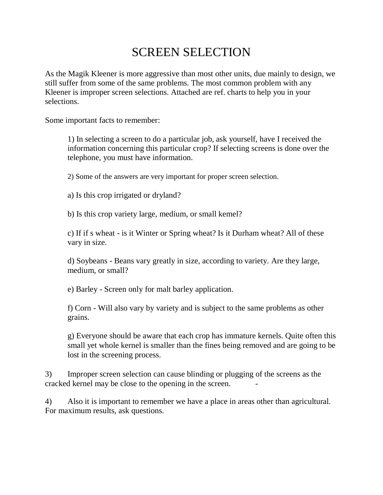### SCREEN SELECTION

As the Magik Kleener is more aggressive than most other units, due mainly to design, we still suffer from some of the same problems. The most common problem with any Kleener is improper screen selections. Attached are ref. charts to help you in your selections.

Some important facts to remember:

1) In selecting a screen to do a particular job, ask yourself, have I received the information concerning this particular crop? If selecting screens is done over the telephone, you must have information.

2) Some of the answers are very important for proper screen selection.

a) Is this crop irrigated or dryland?

b) Is this crop variety large, medium, or small kemel?

c) If if s wheat - is it Winter or Spring wheat? Is it Durham wheat? All of these vary in size.

d) Soybeans - Beans vary greatly in size, according to variety. Are they large, medium, or small?

e) Barley - Screen only for malt barley application.

f) Corn - Will also vary by variety and is subject to the same problems as other grains.

g) Everyone should be aware that each crop has immature kernels. Quite often this small yet whole kernel is smaller than the fines being removed and are going to be lost in the screening process.

3) Improper screen selection can cause blinding or plugging of the screens as the cracked kernel may be close to the opening in the screen. -

4) Also it is important to remember we have a place in areas other than agricultural. For maximum results, ask questions.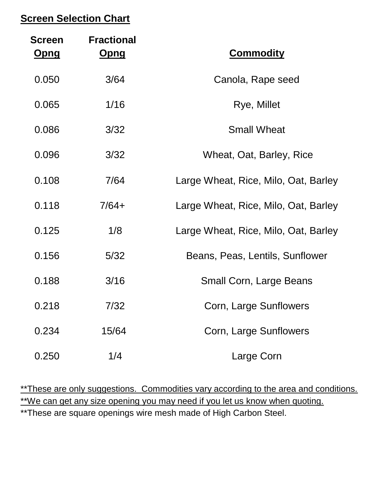### **Screen Selection Chart**

| <b>Commodity</b>                     | <b>Fractional</b><br><u>Opng</u> | <b>Screen</b><br><u>Opng</u> |
|--------------------------------------|----------------------------------|------------------------------|
| Canola, Rape seed                    | 3/64                             | 0.050                        |
| Rye, Millet                          | 1/16                             | 0.065                        |
| <b>Small Wheat</b>                   | 3/32                             | 0.086                        |
| Wheat, Oat, Barley, Rice             | 3/32                             | 0.096                        |
| Large Wheat, Rice, Milo, Oat, Barley | 7/64                             | 0.108                        |
| Large Wheat, Rice, Milo, Oat, Barley | $7/64+$                          | 0.118                        |
| Large Wheat, Rice, Milo, Oat, Barley | 1/8                              | 0.125                        |
| Beans, Peas, Lentils, Sunflower      | 5/32                             | 0.156                        |
| <b>Small Corn, Large Beans</b>       | 3/16                             | 0.188                        |
| Corn, Large Sunflowers               | 7/32                             | 0.218                        |
| Corn, Large Sunflowers               | 15/64                            | 0.234                        |
| Large Corn                           | 1/4                              | 0.250                        |

\*\*These are only suggestions. Commodities vary according to the area and conditions. \*\*We can get any size opening you may need if you let us know when quoting. \*\*These are square openings wire mesh made of High Carbon Steel.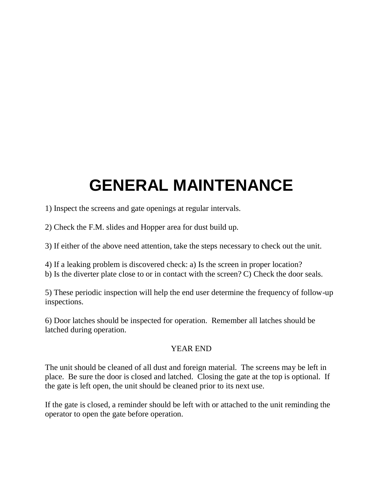## **GENERAL MAINTENANCE**

1) Inspect the screens and gate openings at regular intervals.

2) Check the F.M. slides and Hopper area for dust build up.

3) If either of the above need attention, take the steps necessary to check out the unit.

4) If a leaking problem is discovered check: a) Is the screen in proper location?

b) Is the diverter plate close to or in contact with the screen? C) Check the door seals.

5) These periodic inspection will help the end user determine the frequency of follow-up inspections.

6) Door latches should be inspected for operation. Remember all latches should be latched during operation.

#### YEAR END

The unit should be cleaned of all dust and foreign material. The screens may be left in place. Be sure the door is closed and latched. Closing the gate at the top is optional. If the gate is left open, the unit should be cleaned prior to its next use.

If the gate is closed, a reminder should be left with or attached to the unit reminding the operator to open the gate before operation.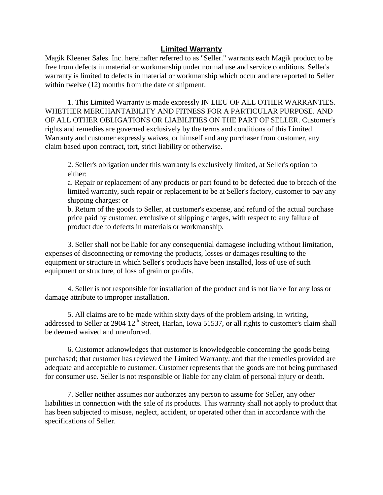#### **Limited Warranty**

Magik Kleener Sales. Inc. hereinafter referred to as "Seller." warrants each Magik product to be free from defects in material or workmanship under normal use and service conditions. Seller's warranty is limited to defects in material or workmanship which occur and are reported to Seller within twelve  $(12)$  months from the date of shipment.

1. This Limited Warranty is made expressly IN LIEU OF ALL OTHER WARRANTIES. WHETHER MERCHANTABILITY AND FITNESS FOR A PARTICULAR PURPOSE. AND OF ALL OTHER OBLIGATIONS OR LIABILITIES ON THE PART OF SELLER. Customer's rights and remedies are governed exclusively by the terms and conditions of this Limited Warranty and customer expressly waives, or himself and any purchaser from customer, any claim based upon contract, tort, strict liability or otherwise.

2. Seller's obligation under this warranty is exclusively limited, at Seller's option to either:

a. Repair or replacement of any products or part found to be defected due to breach of the limited warranty, such repair or replacement to be at Seller's factory, customer to pay any shipping charges: or

b. Return of the goods to Seller, at customer's expense, and refund of the actual purchase price paid by customer, exclusive of shipping charges, with respect to any failure of product due to defects in materials or workmanship.

3. Seller shall not be liable for any consequential damagese including without limitation, expenses of disconnecting or removing the products, losses or damages resulting to the equipment or structure in which Seller's products have been installed, loss of use of such equipment or structure, of loss of grain or profits.

4. Seller is not responsible for installation of the product and is not liable for any loss or damage attribute to improper installation.

5. All claims are to be made within sixty days of the problem arising, in writing, addressed to Seller at 2904 12<sup>th</sup> Street, Harlan, Iowa 51537, or all rights to customer's claim shall be deemed waived and unenforced.

6. Customer acknowledges that customer is knowledgeable concerning the goods being purchased; that customer has reviewed the Limited Warranty: and that the remedies provided are adequate and acceptable to customer. Customer represents that the goods are not being purchased for consumer use. Seller is not responsible or liable for any claim of personal injury or death.

7. Seller neither assumes nor authorizes any person to assume for Seller, any other liabilities in connection with the sale of its products. This warranty shall not apply to product that has been subjected to misuse, neglect, accident, or operated other than in accordance with the specifications of Seller.